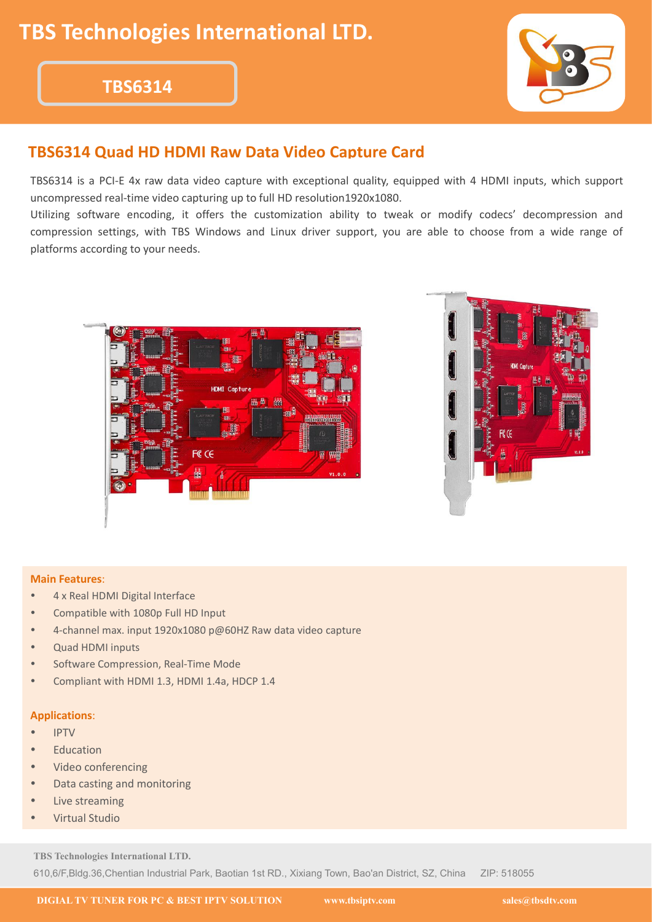## **TBS6314**



## **TBS6314 Quad HD HDMI Raw Data Video Capture Card**

TBS6314 is a PCI-E 4x raw data video capture with exceptional quality, equipped with 4 HDMI inputs, which support uncompressed real-time video capturing up to full HD resolution1920x1080.

Utilizing software encoding, it offers the customization ability to tweak or modify codecs' decompression and compression settings, with TBS Windows and Linux driver support, you are able to choose from a wide range of platforms according to your needs.





#### **Main Features**:

- 4 x Real HDMI Digital Interface
- Compatible with 1080p Full HD Input
- 4-channel max. input 1920x1080 p@60HZ Raw data video capture
- Quad HDMI inputs
- Software Compression, Real-Time Mode
- Compliant with HDMI 1.3, HDMI 1.4a, HDCP 1.4

#### **Applications**:

- **•** IPTV **IPTV**
- **Education**
- Video conferencing
- Data casting and monitoring
- Live streaming
- Virtual Studio

**TBS Technologies International LTD.**

610,6/F,Bldg.36,Chentian Industrial Park, Baotian 1st RD., Xixiang Town, Bao'an District, SZ, China ZIP: 518055

**DIGIAL TV TUNER FOR PC & BEST IPTV SOLUTION www.tbsiptv.com sales@tbsdtv.com**